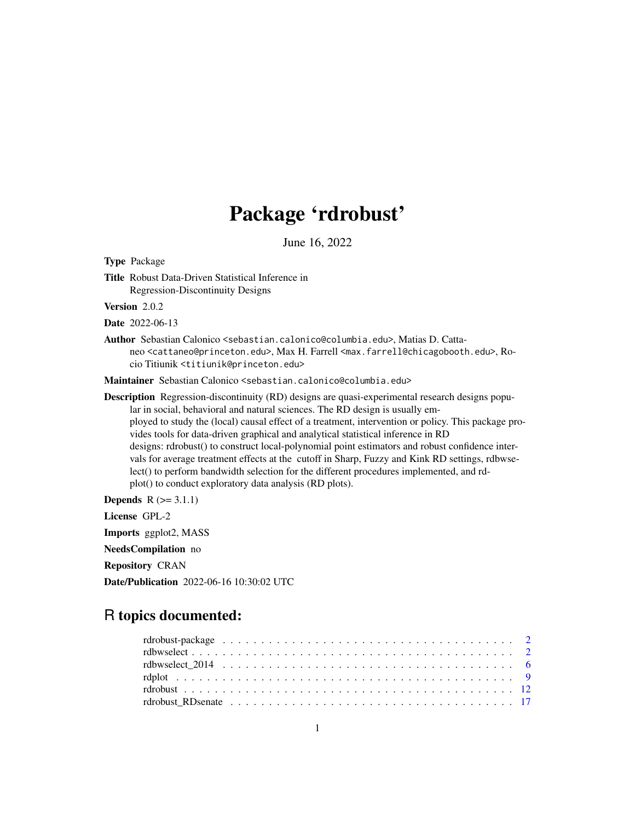## Package 'rdrobust'

June 16, 2022

Type Package Title Robust Data-Driven Statistical Inference in Regression-Discontinuity Designs Version 2.0.2 Date 2022-06-13 Author Sebastian Calonico <sebastian.calonico@columbia.edu>, Matias D. Cattaneo <cattaneo@princeton.edu>, Max H. Farrell <max.farrell@chicagobooth.edu>, Rocio Titiunik <titiunik@princeton.edu> Maintainer Sebastian Calonico <sebastian.calonico@columbia.edu> Description Regression-discontinuity (RD) designs are quasi-experimental research designs popular in social, behavioral and natural sciences. The RD design is usually employed to study the (local) causal effect of a treatment, intervention or policy. This package provides tools for data-driven graphical and analytical statistical inference in RD designs: rdrobust() to construct local-polynomial point estimators and robust confidence intervals for average treatment effects at the cutoff in Sharp, Fuzzy and Kink RD settings, rdbwselect() to perform bandwidth selection for the different procedures implemented, and rdplot() to conduct exploratory data analysis (RD plots). **Depends**  $R$  ( $>= 3.1.1$ ) License GPL-2 Imports ggplot2, MASS NeedsCompilation no Repository CRAN Date/Publication 2022-06-16 10:30:02 UTC

## R topics documented: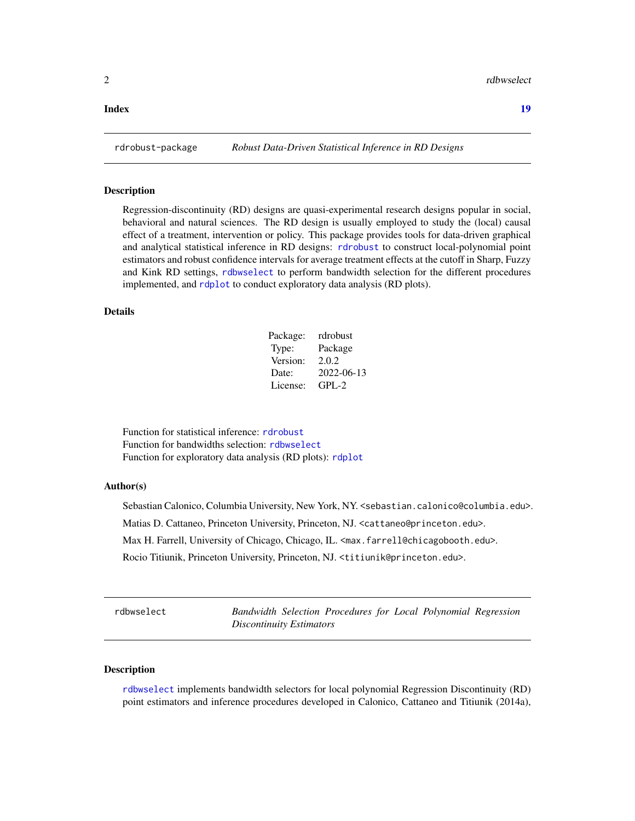#### <span id="page-1-0"></span>**Index** 2008 **[19](#page-18-0)99**

#### **Description**

Regression-discontinuity (RD) designs are quasi-experimental research designs popular in social, behavioral and natural sciences. The RD design is usually employed to study the (local) causal effect of a treatment, intervention or policy. This package provides tools for data-driven graphical and analytical statistical inference in RD designs: [rdrobust](#page-11-1) to construct local-polynomial point estimators and robust confidence intervals for average treatment effects at the cutoff in Sharp, Fuzzy and Kink RD settings, [rdbwselect](#page-1-1) to perform bandwidth selection for the different procedures implemented, and [rdplot](#page-8-1) to conduct exploratory data analysis (RD plots).

#### Details

| Package: | rdrobust   |
|----------|------------|
| Type:    | Package    |
| Version: | 2.0.2      |
| Date:    | 2022-06-13 |
| License: | $GPI - 2$  |

Function for statistical inference: [rdrobust](#page-11-1) Function for bandwidths selection: [rdbwselect](#page-1-1) Function for exploratory data analysis (RD plots): [rdplot](#page-8-1)

#### Author(s)

Sebastian Calonico, Columbia University, New York, NY. <sebastian.calonico@columbia.edu>. Matias D. Cattaneo, Princeton University, Princeton, NJ. <cattaneo@princeton.edu>. Max H. Farrell, University of Chicago, Chicago, IL. <max.farrell@chicagobooth.edu>.

Rocio Titiunik, Princeton University, Princeton, NJ. <titiunik@princeton.edu>.

<span id="page-1-1"></span>rdbwselect *Bandwidth Selection Procedures for Local Polynomial Regression Discontinuity Estimators*

#### Description

[rdbwselect](#page-1-1) implements bandwidth selectors for local polynomial Regression Discontinuity (RD) point estimators and inference procedures developed in Calonico, Cattaneo and Titiunik (2014a),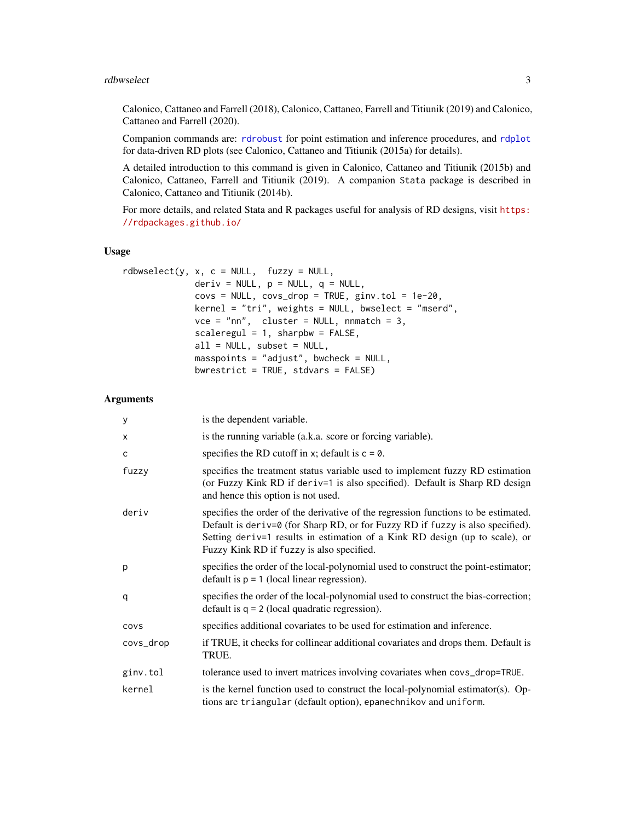#### <span id="page-2-0"></span>rdbwselect 3

Calonico, Cattaneo and Farrell (2018), Calonico, Cattaneo, Farrell and Titiunik (2019) and Calonico, Cattaneo and Farrell (2020).

Companion commands are: [rdrobust](#page-11-1) for point estimation and inference procedures, and [rdplot](#page-8-1) for data-driven RD plots (see Calonico, Cattaneo and Titiunik (2015a) for details).

A detailed introduction to this command is given in Calonico, Cattaneo and Titiunik (2015b) and Calonico, Cattaneo, Farrell and Titiunik (2019). A companion Stata package is described in Calonico, Cattaneo and Titiunik (2014b).

For more details, and related Stata and R packages useful for analysis of RD designs, visit [https:](https://rdpackages.github.io/) [//rdpackages.github.io/](https://rdpackages.github.io/)

#### Usage

```
rdbwselect(y, x, c = NULL, fuzzy = NULL,deriv = NULL, p = NULL, q = NULL,covs = NULL, covs_drop = TRUE, ginv.tol = 1e-20,
              \text{kernel} = \text{"tri", weights = NULL, bucket = "mserd",}vce = "nn", cluster = NULL, nnmatch = 3,scaleregul = 1, sharpbw = FALSE,all = NULL, subset = NULL,
              masspoints = "adjust", bwcheck = NULL,
              bwrestrict = TRUE, stdvars = FALSE)
```

| y         | is the dependent variable.                                                                                                                                                                                                                                                                       |
|-----------|--------------------------------------------------------------------------------------------------------------------------------------------------------------------------------------------------------------------------------------------------------------------------------------------------|
| X         | is the running variable (a.k.a. score or forcing variable).                                                                                                                                                                                                                                      |
| c         | specifies the RD cutoff in x; default is $c = 0$ .                                                                                                                                                                                                                                               |
| fuzzy     | specifies the treatment status variable used to implement fuzzy RD estimation<br>(or Fuzzy Kink RD if deriv=1 is also specified). Default is Sharp RD design<br>and hence this option is not used.                                                                                               |
| deriv     | specifies the order of the derivative of the regression functions to be estimated.<br>Default is deriv=0 (for Sharp RD, or for Fuzzy RD if fuzzy is also specified).<br>Setting deriv=1 results in estimation of a Kink RD design (up to scale), or<br>Fuzzy Kink RD if fuzzy is also specified. |
| p         | specifies the order of the local-polynomial used to construct the point-estimator;<br>default is $p = 1$ (local linear regression).                                                                                                                                                              |
| q         | specifies the order of the local-polynomial used to construct the bias-correction;<br>default is $q = 2$ (local quadratic regression).                                                                                                                                                           |
| covs      | specifies additional covariates to be used for estimation and inference.                                                                                                                                                                                                                         |
| covs_drop | if TRUE, it checks for collinear additional covariates and drops them. Default is<br>TRUE.                                                                                                                                                                                                       |
| ginv.tol  | tolerance used to invert matrices involving covariates when covs_drop=TRUE.                                                                                                                                                                                                                      |
| kernel    | is the kernel function used to construct the local-polynomial estimator(s). Op-<br>tions are triangular (default option), epanechnikov and uniform.                                                                                                                                              |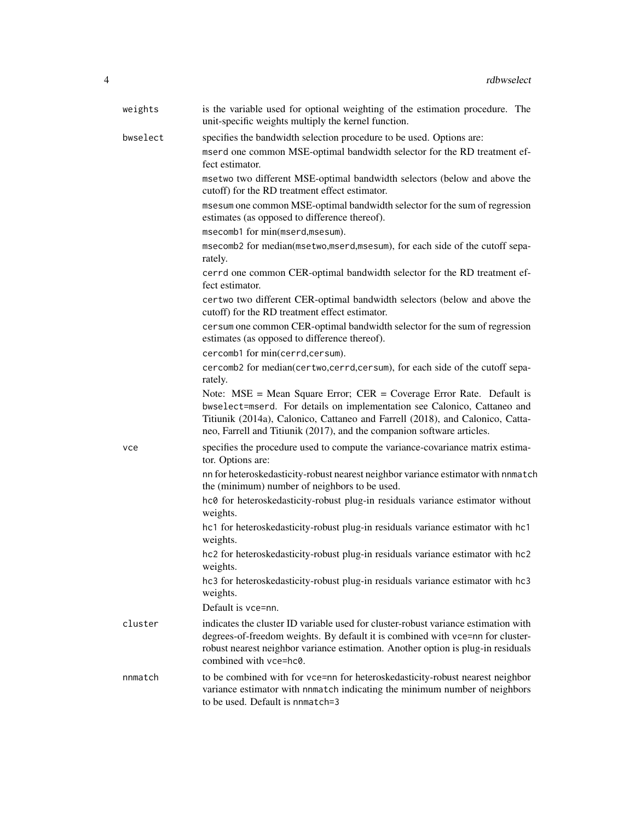| weights  | is the variable used for optional weighting of the estimation procedure. The<br>unit-specific weights multiply the kernel function.                                                                                                                                                                               |
|----------|-------------------------------------------------------------------------------------------------------------------------------------------------------------------------------------------------------------------------------------------------------------------------------------------------------------------|
| bwselect | specifies the bandwidth selection procedure to be used. Options are:                                                                                                                                                                                                                                              |
|          | mserd one common MSE-optimal bandwidth selector for the RD treatment ef-<br>fect estimator.                                                                                                                                                                                                                       |
|          | msetwo two different MSE-optimal bandwidth selectors (below and above the<br>cutoff) for the RD treatment effect estimator.                                                                                                                                                                                       |
|          | msesum one common MSE-optimal bandwidth selector for the sum of regression<br>estimates (as opposed to difference thereof).                                                                                                                                                                                       |
|          | msecomb1 for min(mserd,msesum).                                                                                                                                                                                                                                                                                   |
|          | msecomb2 for median(msetwo,mserd,msesum), for each side of the cutoff sepa-<br>rately.                                                                                                                                                                                                                            |
|          | cerrd one common CER-optimal bandwidth selector for the RD treatment ef-<br>fect estimator.                                                                                                                                                                                                                       |
|          | certwo two different CER-optimal bandwidth selectors (below and above the<br>cutoff) for the RD treatment effect estimator.                                                                                                                                                                                       |
|          | cersum one common CER-optimal bandwidth selector for the sum of regression<br>estimates (as opposed to difference thereof).                                                                                                                                                                                       |
|          | cercomb1 for min(cerrd,cersum).                                                                                                                                                                                                                                                                                   |
|          | cercomb2 for median(certwo,cerrd,cersum), for each side of the cutoff sepa-<br>rately.                                                                                                                                                                                                                            |
|          | Note: $MSE = Mean Square Error$ ; $CER = Coverage Error Rate$ . Default is<br>bwselect=mserd. For details on implementation see Calonico, Cattaneo and<br>Titiunik (2014a), Calonico, Cattaneo and Farrell (2018), and Calonico, Catta-<br>neo, Farrell and Titiunik (2017), and the companion software articles. |
| vce      | specifies the procedure used to compute the variance-covariance matrix estima-<br>tor. Options are:                                                                                                                                                                                                               |
|          | nn for heteroskedasticity-robust nearest neighbor variance estimator with nnmatch<br>the (minimum) number of neighbors to be used.                                                                                                                                                                                |
|          | hc0 for heteroskedasticity-robust plug-in residuals variance estimator without<br>weights.                                                                                                                                                                                                                        |
|          | hc1 for heteroskedasticity-robust plug-in residuals variance estimator with hc1<br>weights.                                                                                                                                                                                                                       |
|          | hc2 for heteroskedasticity-robust plug-in residuals variance estimator with hc2<br>weights.                                                                                                                                                                                                                       |
|          | hc3 for heteroskedasticity-robust plug-in residuals variance estimator with hc3<br>weights.                                                                                                                                                                                                                       |
|          | Default is vce=nn.                                                                                                                                                                                                                                                                                                |
| cluster  | indicates the cluster ID variable used for cluster-robust variance estimation with<br>degrees-of-freedom weights. By default it is combined with vce=nn for cluster-<br>robust nearest neighbor variance estimation. Another option is plug-in residuals<br>combined with vce=hc0.                                |
| nnmatch  | to be combined with for vce=nn for heteroskedasticity-robust nearest neighbor<br>variance estimator with nnmatch indicating the minimum number of neighbors<br>to be used. Default is nnmatch=3                                                                                                                   |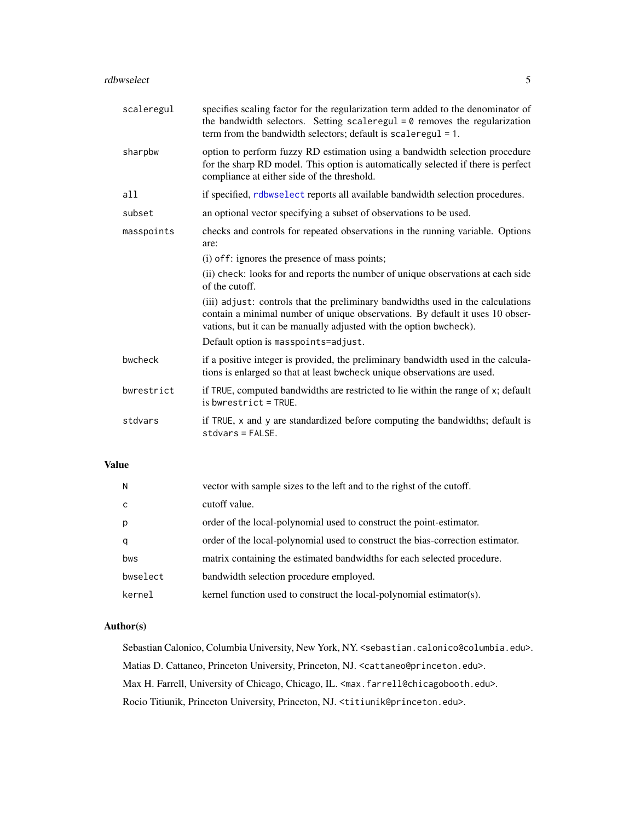<span id="page-4-0"></span>

| scaleregul | specifies scaling factor for the regularization term added to the denominator of<br>the bandwidth selectors. Setting scaleregul $= 0$ removes the regularization<br>term from the bandwidth selectors; default is scaleregul = 1.      |
|------------|----------------------------------------------------------------------------------------------------------------------------------------------------------------------------------------------------------------------------------------|
| sharpbw    | option to perform fuzzy RD estimation using a bandwidth selection procedure<br>for the sharp RD model. This option is automatically selected if there is perfect<br>compliance at either side of the threshold.                        |
| all        | if specified, rdbwselect reports all available bandwidth selection procedures.                                                                                                                                                         |
| subset     | an optional vector specifying a subset of observations to be used.                                                                                                                                                                     |
| masspoints | checks and controls for repeated observations in the running variable. Options<br>are:                                                                                                                                                 |
|            | (i) of f: ignores the presence of mass points;                                                                                                                                                                                         |
|            | (ii) check: looks for and reports the number of unique observations at each side<br>of the cutoff.                                                                                                                                     |
|            | (iii) adjust: controls that the preliminary bandwidths used in the calculations<br>contain a minimal number of unique observations. By default it uses 10 obser-<br>vations, but it can be manually adjusted with the option bwcheck). |
|            | Default option is masspoints=adjust.                                                                                                                                                                                                   |
| bwcheck    | if a positive integer is provided, the preliminary bandwidth used in the calcula-<br>tions is enlarged so that at least bwcheck unique observations are used.                                                                          |
| bwrestrict | if TRUE, computed bandwidths are restricted to lie within the range of x; default<br>$is$ bwrestrict = TRUE.                                                                                                                           |
| stdvars    | if TRUE, x and y are standardized before computing the bandwidths; default is<br>$stdvars = FALSE.$                                                                                                                                    |
|            |                                                                                                                                                                                                                                        |

#### Value

| $\mathsf{N}$ | vector with sample sizes to the left and to the righst of the cutoff.          |
|--------------|--------------------------------------------------------------------------------|
| <sub>c</sub> | cutoff value.                                                                  |
| p            | order of the local-polynomial used to construct the point-estimator.           |
| q            | order of the local-polynomial used to construct the bias-correction estimator. |
| bws          | matrix containing the estimated bandwidths for each selected procedure.        |
| bwselect     | bandwidth selection procedure employed.                                        |
| kernel       | kernel function used to construct the local-polynomial estimator(s).           |

#### Author(s)

Sebastian Calonico, Columbia University, New York, NY. <sebastian.calonico@columbia.edu>. Matias D. Cattaneo, Princeton University, Princeton, NJ. <cattaneo@princeton.edu>. Max H. Farrell, University of Chicago, Chicago, IL. <max.farrell@chicagobooth.edu>. Rocio Titiunik, Princeton University, Princeton, NJ. <titiunik@princeton.edu>.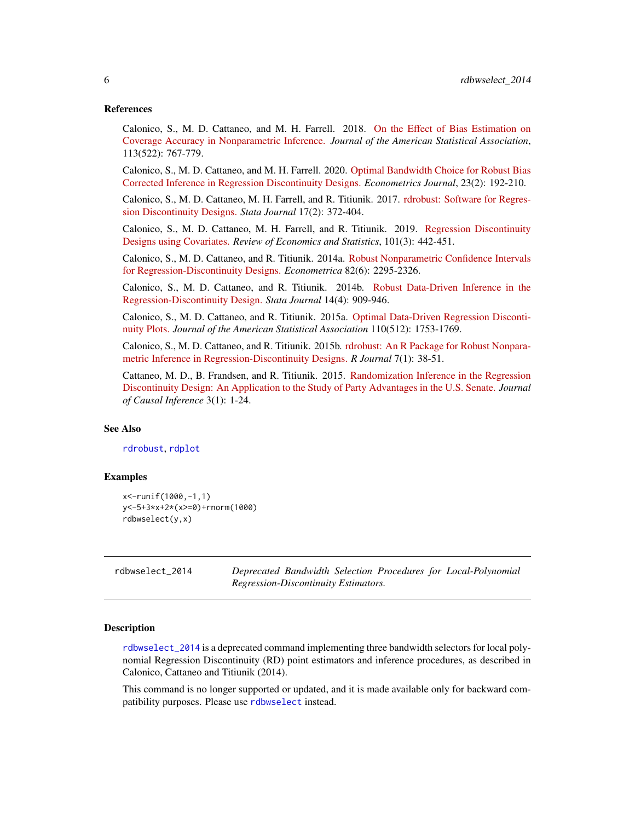#### <span id="page-5-0"></span>References

Calonico, S., M. D. Cattaneo, and M. H. Farrell. 2018. [On the Effect of Bias Estimation on](https://nppackages.github.io/references/Calonico-Cattaneo-Farrell_2018_JASA.pdf) [Coverage Accuracy in Nonparametric Inference.](https://nppackages.github.io/references/Calonico-Cattaneo-Farrell_2018_JASA.pdf) *Journal of the American Statistical Association*, 113(522): 767-779.

Calonico, S., M. D. Cattaneo, and M. H. Farrell. 2020. [Optimal Bandwidth Choice for Robust Bias](https://rdpackages.github.io/references/Calonico-Cattaneo-Farrell_2020_ECTJ.pdf) [Corrected Inference in Regression Discontinuity Designs.](https://rdpackages.github.io/references/Calonico-Cattaneo-Farrell_2020_ECTJ.pdf) *Econometrics Journal*, 23(2): 192-210.

Calonico, S., M. D. Cattaneo, M. H. Farrell, and R. Titiunik. 2017. [rdrobust: Software for Regres](https://rdpackages.github.io/references/Calonico-Cattaneo-Farrell-Titiunik_2017_Stata.pdf)[sion Discontinuity Designs.](https://rdpackages.github.io/references/Calonico-Cattaneo-Farrell-Titiunik_2017_Stata.pdf) *Stata Journal* 17(2): 372-404.

Calonico, S., M. D. Cattaneo, M. H. Farrell, and R. Titiunik. 2019. [Regression Discontinuity](https://rdpackages.github.io/references/Calonico-Cattaneo-Farrell-Titiunik_2019_RESTAT.pdf) [Designs using Covariates.](https://rdpackages.github.io/references/Calonico-Cattaneo-Farrell-Titiunik_2019_RESTAT.pdf) *Review of Economics and Statistics*, 101(3): 442-451.

Calonico, S., M. D. Cattaneo, and R. Titiunik. 2014a. [Robust Nonparametric Confidence Intervals](https://rdpackages.github.io/references/Calonico-Cattaneo-Titiunik_2014_ECMA.pdf) [for Regression-Discontinuity Designs.](https://rdpackages.github.io/references/Calonico-Cattaneo-Titiunik_2014_ECMA.pdf) *Econometrica* 82(6): 2295-2326.

Calonico, S., M. D. Cattaneo, and R. Titiunik. 2014b. [Robust Data-Driven Inference in the](https://rdpackages.github.io/references/Calonico-Cattaneo-Titiunik_2014_Stata.pdf) [Regression-Discontinuity Design.](https://rdpackages.github.io/references/Calonico-Cattaneo-Titiunik_2014_Stata.pdf) *Stata Journal* 14(4): 909-946.

Calonico, S., M. D. Cattaneo, and R. Titiunik. 2015a. [Optimal Data-Driven Regression Disconti](https://rdpackages.github.io/references/Calonico-Cattaneo-Titiunik_2015_JASA.pdf)[nuity Plots.](https://rdpackages.github.io/references/Calonico-Cattaneo-Titiunik_2015_JASA.pdf) *Journal of the American Statistical Association* 110(512): 1753-1769.

Calonico, S., M. D. Cattaneo, and R. Titiunik. 2015b. [rdrobust: An R Package for Robust Nonpara](https://rdpackages.github.io/references/Calonico-Cattaneo-Titiunik_2015_R.pdf)[metric Inference in Regression-Discontinuity Designs.](https://rdpackages.github.io/references/Calonico-Cattaneo-Titiunik_2015_R.pdf) *R Journal* 7(1): 38-51.

Cattaneo, M. D., B. Frandsen, and R. Titiunik. 2015. [Randomization Inference in the Regression](https://rdpackages.github.io/references/Cattaneo-Frandsen-Titiunik_2015_JCI.pdf) [Discontinuity Design: An Application to the Study of Party Advantages in the U.S. Senate.](https://rdpackages.github.io/references/Cattaneo-Frandsen-Titiunik_2015_JCI.pdf) *Journal of Causal Inference* 3(1): 1-24.

#### See Also

[rdrobust](#page-11-1), [rdplot](#page-8-1)

#### Examples

```
x<-runif(1000,-1,1)
y<-5+3*x+2*(x>=0)+rnorm(1000)
rdbwselect(y,x)
```
<span id="page-5-1"></span>rdbwselect\_2014 *Deprecated Bandwidth Selection Procedures for Local-Polynomial Regression-Discontinuity Estimators.*

#### Description

[rdbwselect\\_2014](#page-5-1) is a deprecated command implementing three bandwidth selectors for local polynomial Regression Discontinuity (RD) point estimators and inference procedures, as described in Calonico, Cattaneo and Titiunik (2014).

This command is no longer supported or updated, and it is made available only for backward compatibility purposes. Please use [rdbwselect](#page-1-1) instead.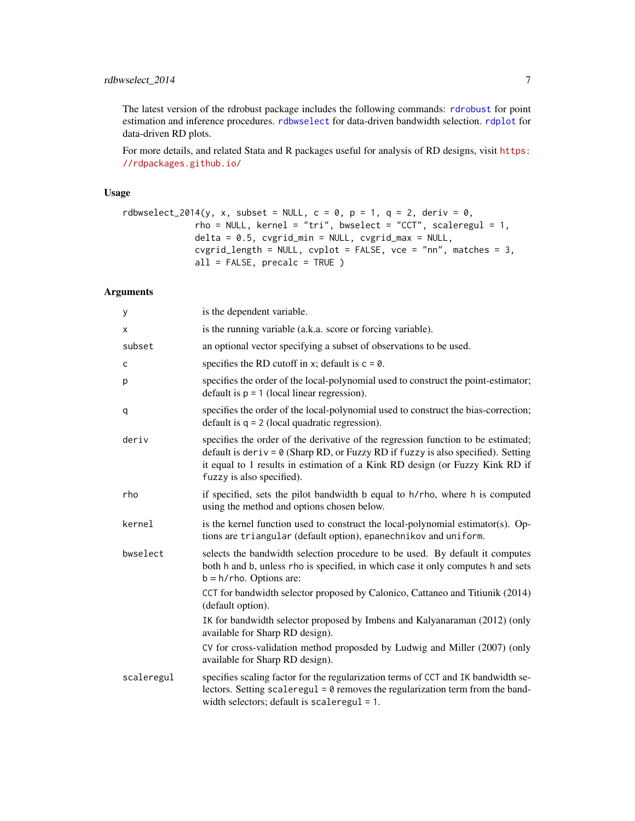#### <span id="page-6-0"></span>rdbwselect\_2014 7

The latest version of the rdrobust package includes the following commands: [rdrobust](#page-11-1) for point estimation and inference procedures. [rdbwselect](#page-1-1) for data-driven bandwidth selection. [rdplot](#page-8-1) for data-driven RD plots.

For more details, and related Stata and R packages useful for analysis of RD designs, visit [https:](https://rdpackages.github.io/) [//rdpackages.github.io/](https://rdpackages.github.io/)

#### Usage

```
rdbwselect_2014(y, x, subset = NULL, c = 0, p = 1, q = 2, deriv = 0,
             rho = NULL, kernel = "tri", bwselect = "CCT", scaleregul = 1,
             delta = 0.5, cvgrid_min = NULL, cvgrid_max = NULL,
             cvgrid_length = NULL, cvplot = FALSE, vce = "nn", matches = 3,
             all = FALSE, precalc = TRUE )
```

| У          | is the dependent variable.                                                                                                                                                                                                                                                                |
|------------|-------------------------------------------------------------------------------------------------------------------------------------------------------------------------------------------------------------------------------------------------------------------------------------------|
| х          | is the running variable (a.k.a. score or forcing variable).                                                                                                                                                                                                                               |
| subset     | an optional vector specifying a subset of observations to be used.                                                                                                                                                                                                                        |
| C          | specifies the RD cutoff in x; default is $c = 0$ .                                                                                                                                                                                                                                        |
| p          | specifies the order of the local-polynomial used to construct the point-estimator;<br>default is $p = 1$ (local linear regression).                                                                                                                                                       |
| q          | specifies the order of the local-polynomial used to construct the bias-correction;<br>default is $q = 2$ (local quadratic regression).                                                                                                                                                    |
| deriv      | specifies the order of the derivative of the regression function to be estimated;<br>default is deriv = $\theta$ (Sharp RD, or Fuzzy RD if fuzzy is also specified). Setting<br>it equal to 1 results in estimation of a Kink RD design (or Fuzzy Kink RD if<br>fuzzy is also specified). |
| rho        | if specified, sets the pilot bandwidth b equal to h/rho, where h is computed<br>using the method and options chosen below.                                                                                                                                                                |
| kernel     | is the kernel function used to construct the local-polynomial estimator(s). Op-<br>tions are triangular (default option), epanechnikov and uniform.                                                                                                                                       |
| bwselect   | selects the bandwidth selection procedure to be used. By default it computes<br>both h and b, unless rho is specified, in which case it only computes h and sets<br>$b = h$ /rho. Options are:                                                                                            |
|            | CCT for bandwidth selector proposed by Calonico, Cattaneo and Titiunik (2014)<br>(default option).                                                                                                                                                                                        |
|            | IK for bandwidth selector proposed by Imbens and Kalyanaraman (2012) (only<br>available for Sharp RD design).                                                                                                                                                                             |
|            | CV for cross-validation method proposded by Ludwig and Miller (2007) (only<br>available for Sharp RD design).                                                                                                                                                                             |
| scaleregul | specifies scaling factor for the regularization terms of CCT and IK bandwidth se-<br>lectors. Setting scaleregul = $0$ removes the regularization term from the band-<br>width selectors; default is scaleregul = $1$ .                                                                   |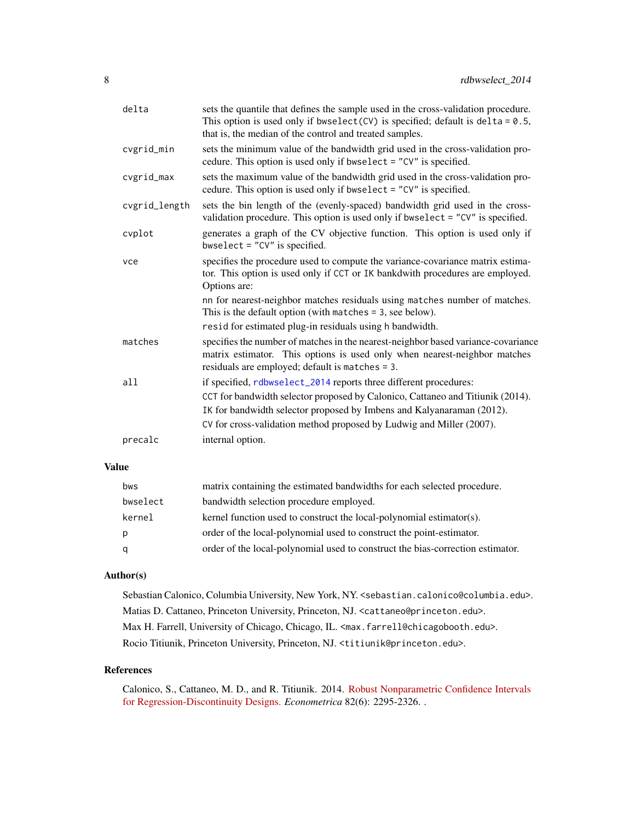<span id="page-7-0"></span>

| delta         | sets the quantile that defines the sample used in the cross-validation procedure.<br>This option is used only if bwselect(CV) is specified; default is delta = $0.5$ ,<br>that is, the median of the control and treated samples.                                                                    |
|---------------|------------------------------------------------------------------------------------------------------------------------------------------------------------------------------------------------------------------------------------------------------------------------------------------------------|
| cvgrid_min    | sets the minimum value of the bandwidth grid used in the cross-validation pro-<br>cedure. This option is used only if bwselect = "CV" is specified.                                                                                                                                                  |
| cvgrid_max    | sets the maximum value of the bandwidth grid used in the cross-validation pro-<br>cedure. This option is used only if bwselect = "CV" is specified.                                                                                                                                                  |
| cvgrid_length | sets the bin length of the (evenly-spaced) bandwidth grid used in the cross-<br>validation procedure. This option is used only if bwselect = $"CV"$ is specified.                                                                                                                                    |
| cvplot        | generates a graph of the CV objective function. This option is used only if<br>bwselect = $"CV"$ is specified.                                                                                                                                                                                       |
| vce           | specifies the procedure used to compute the variance-covariance matrix estima-<br>tor. This option is used only if CCT or IK bankdwith procedures are employed.<br>Options are:                                                                                                                      |
|               | nn for nearest-neighbor matches residuals using matches number of matches.<br>This is the default option (with matches $=$ 3, see below).                                                                                                                                                            |
|               | resid for estimated plug-in residuals using h bandwidth.                                                                                                                                                                                                                                             |
| matches       | specifies the number of matches in the nearest-neighbor based variance-covariance<br>matrix estimator. This options is used only when nearest-neighbor matches<br>residuals are employed; default is matches = 3.                                                                                    |
| a11           | if specified, rdbwselect_2014 reports three different procedures:<br>CCT for bandwidth selector proposed by Calonico, Cattaneo and Titiunik (2014).<br>IK for bandwidth selector proposed by Imbens and Kalyanaraman (2012).<br>CV for cross-validation method proposed by Ludwig and Miller (2007). |
| precalc       | internal option.                                                                                                                                                                                                                                                                                     |
|               |                                                                                                                                                                                                                                                                                                      |

#### Value

| bws      | matrix containing the estimated bandwidths for each selected procedure.        |
|----------|--------------------------------------------------------------------------------|
| bwselect | bandwidth selection procedure employed.                                        |
| kernel   | kernel function used to construct the local-polynomial estimator(s).           |
| p        | order of the local-polynomial used to construct the point-estimator.           |
| q        | order of the local-polynomial used to construct the bias-correction estimator. |

#### Author(s)

Sebastian Calonico, Columbia University, New York, NY. <sebastian.calonico@columbia.edu>. Matias D. Cattaneo, Princeton University, Princeton, NJ. <cattaneo@princeton.edu>. Max H. Farrell, University of Chicago, Chicago, IL. <max.farrell@chicagobooth.edu>. Rocio Titiunik, Princeton University, Princeton, NJ. <titiunik@princeton.edu>.

#### References

Calonico, S., Cattaneo, M. D., and R. Titiunik. 2014. [Robust Nonparametric Confidence Intervals](https://rdpackages.github.io/references/Calonico-Cattaneo-Titiunik_2014_Stata.pdf) [for Regression-Discontinuity Designs.](https://rdpackages.github.io/references/Calonico-Cattaneo-Titiunik_2014_Stata.pdf) *Econometrica* 82(6): 2295-2326. .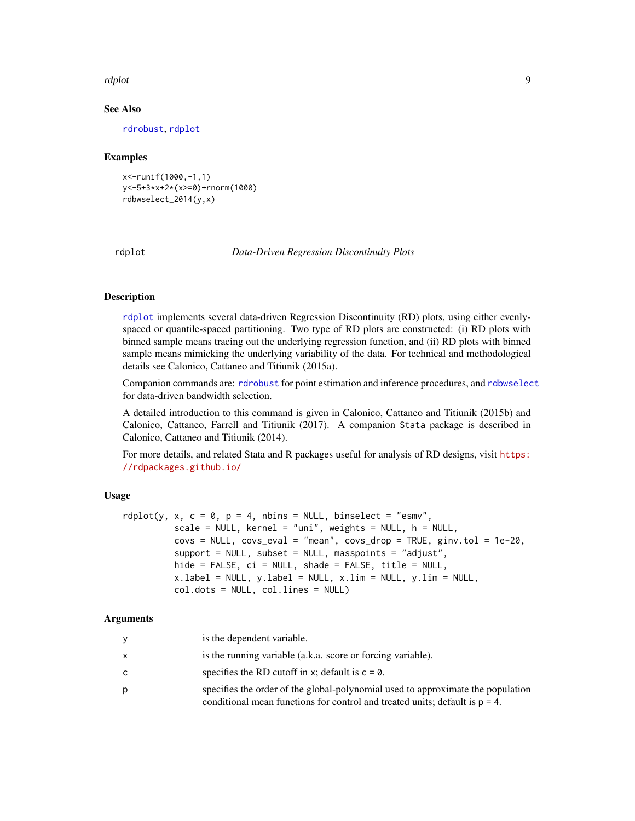#### <span id="page-8-0"></span>rdplot the contract of the contract of the contract of the contract of the contract of the contract of the contract of the contract of the contract of the contract of the contract of the contract of the contract of the con

#### See Also

[rdrobust](#page-11-1), [rdplot](#page-8-1)

#### Examples

```
x<-runif(1000,-1,1)
y<-5+3*x+2*(x>=0)+rnorm(1000)
rdbwselect_2014(y,x)
```
#### <span id="page-8-1"></span>rdplot *Data-Driven Regression Discontinuity Plots*

#### **Description**

[rdplot](#page-8-1) implements several data-driven Regression Discontinuity (RD) plots, using either evenlyspaced or quantile-spaced partitioning. Two type of RD plots are constructed: (i) RD plots with binned sample means tracing out the underlying regression function, and (ii) RD plots with binned sample means mimicking the underlying variability of the data. For technical and methodological details see Calonico, Cattaneo and Titiunik (2015a).

Companion commands are: [rdrobust](#page-11-1) for point estimation and inference procedures, and [rdbwselect](#page-1-1) for data-driven bandwidth selection.

A detailed introduction to this command is given in Calonico, Cattaneo and Titiunik (2015b) and Calonico, Cattaneo, Farrell and Titiunik (2017). A companion Stata package is described in Calonico, Cattaneo and Titiunik (2014).

For more details, and related Stata and R packages useful for analysis of RD designs, visit [https:](https://rdpackages.github.io/) [//rdpackages.github.io/](https://rdpackages.github.io/)

#### Usage

```
rdplot(y, x, c = 0, p = 4, nbins = NULL, binselect = "esmv",
          scale = NULL, kernel = "uni", weights = NULL, h = NULL,
          covs = NULL, covs<sub>e</sub>val = "mean", covs<sub>drop</sub> = TRUE, ginv.tol = 1e-20,
          support = NULL, subset = NULL, masspoints = "adjust",
          hide = FALSE, ci = NULL, shade = FALSE, title = NULL,
          x.label = NULL, y.label = NULL, x.lim = NULL, y.lim = NULL,
          col.dots = NULL, col.lines = NULL)
```

| <b>y</b>     | is the dependent variable.                                                                                                                                        |
|--------------|-------------------------------------------------------------------------------------------------------------------------------------------------------------------|
| $\mathsf{x}$ | is the running variable (a.k.a. score or forcing variable).                                                                                                       |
| C            | specifies the RD cutoff in x; default is $c = 0$ .                                                                                                                |
| p            | specifies the order of the global-polynomial used to approximate the population<br>conditional mean functions for control and treated units; default is $p = 4$ . |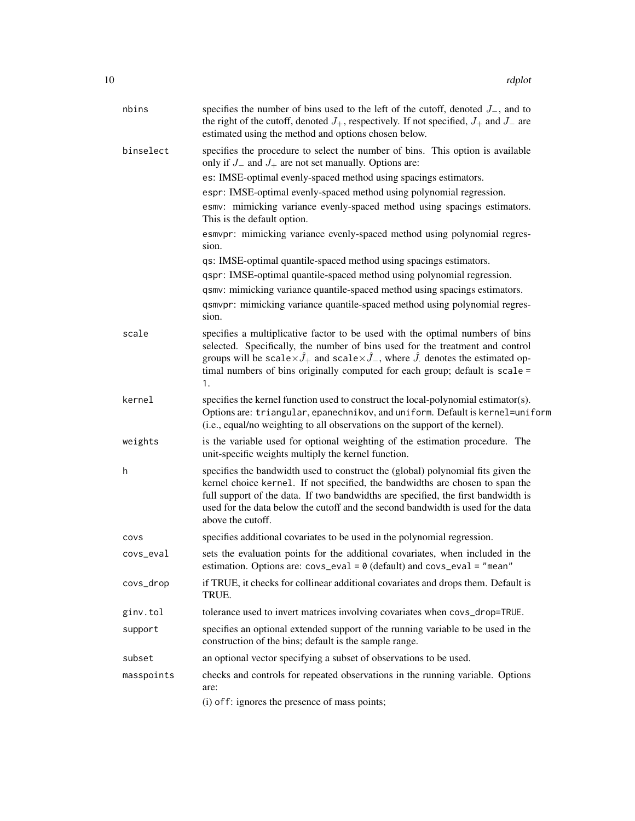| nbins      | specifies the number of bins used to the left of the cutoff, denoted $J_{-}$ , and to<br>the right of the cutoff, denoted $J_+$ , respectively. If not specified, $J_+$ and $J_-$ are<br>estimated using the method and options chosen below.                                                                                                                              |
|------------|----------------------------------------------------------------------------------------------------------------------------------------------------------------------------------------------------------------------------------------------------------------------------------------------------------------------------------------------------------------------------|
| binselect  | specifies the procedure to select the number of bins. This option is available<br>only if $J_-$ and $J_+$ are not set manually. Options are:                                                                                                                                                                                                                               |
|            | es: IMSE-optimal evenly-spaced method using spacings estimators.                                                                                                                                                                                                                                                                                                           |
|            | espr: IMSE-optimal evenly-spaced method using polynomial regression.                                                                                                                                                                                                                                                                                                       |
|            | esmv: mimicking variance evenly-spaced method using spacings estimators.<br>This is the default option.                                                                                                                                                                                                                                                                    |
|            | esmvpr: mimicking variance evenly-spaced method using polynomial regres-<br>sion.                                                                                                                                                                                                                                                                                          |
|            | qs: IMSE-optimal quantile-spaced method using spacings estimators.                                                                                                                                                                                                                                                                                                         |
|            | qspr: IMSE-optimal quantile-spaced method using polynomial regression.                                                                                                                                                                                                                                                                                                     |
|            | qsmv: mimicking variance quantile-spaced method using spacings estimators.                                                                                                                                                                                                                                                                                                 |
|            | qsmvpr: mimicking variance quantile-spaced method using polynomial regres-<br>sion.                                                                                                                                                                                                                                                                                        |
| scale      | specifies a multiplicative factor to be used with the optimal numbers of bins<br>selected. Specifically, the number of bins used for the treatment and control<br>groups will be scale $\times \hat{J}_+$ and scale $\times \hat{J}_-$ , where $\hat{J}_-$ denotes the estimated op-<br>timal numbers of bins originally computed for each group; default is scale =<br>1. |
| kernel     | specifies the kernel function used to construct the local-polynomial estimator(s).<br>Options are: triangular, epanechnikov, and uniform. Default is kernel=uniform<br>(i.e., equal/no weighting to all observations on the support of the kernel).                                                                                                                        |
| weights    | is the variable used for optional weighting of the estimation procedure. The<br>unit-specific weights multiply the kernel function.                                                                                                                                                                                                                                        |
| h          | specifies the bandwidth used to construct the (global) polynomial fits given the<br>kernel choice kernel. If not specified, the bandwidths are chosen to span the<br>full support of the data. If two bandwidths are specified, the first bandwidth is<br>used for the data below the cutoff and the second bandwidth is used for the data<br>above the cutoff.            |
| covs       | specifies additional covariates to be used in the polynomial regression.                                                                                                                                                                                                                                                                                                   |
| covs_eval  | sets the evaluation points for the additional covariates, when included in the<br>estimation. Options are: $covz$ -eval = 0 (default) and $covz$ -eval = "mean"                                                                                                                                                                                                            |
| covs_drop  | if TRUE, it checks for collinear additional covariates and drops them. Default is<br>TRUE.                                                                                                                                                                                                                                                                                 |
| ginv.tol   | tolerance used to invert matrices involving covariates when covs_drop=TRUE.                                                                                                                                                                                                                                                                                                |
| support    | specifies an optional extended support of the running variable to be used in the<br>construction of the bins; default is the sample range.                                                                                                                                                                                                                                 |
| subset     | an optional vector specifying a subset of observations to be used.                                                                                                                                                                                                                                                                                                         |
| masspoints | checks and controls for repeated observations in the running variable. Options<br>are:                                                                                                                                                                                                                                                                                     |
|            | (i) of f: ignores the presence of mass points;                                                                                                                                                                                                                                                                                                                             |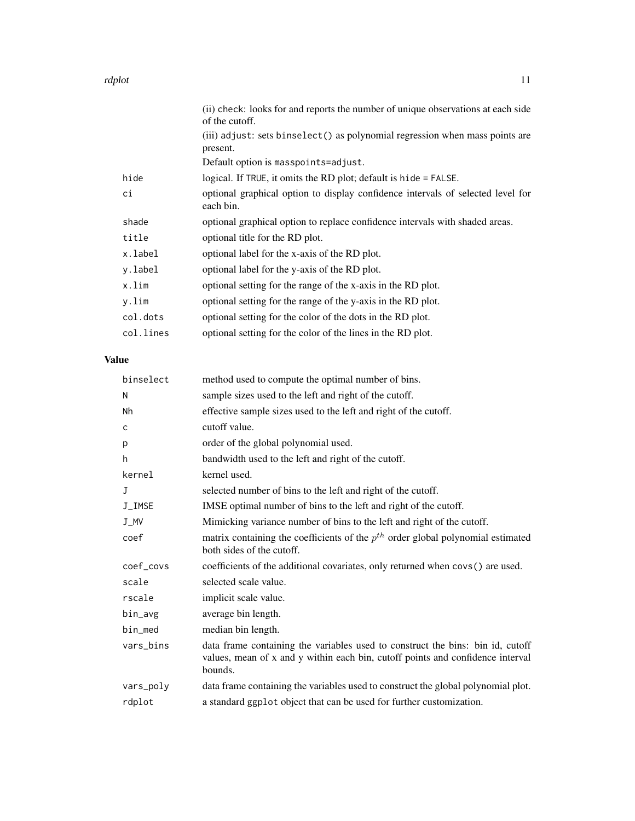#### rdplot that the contract of the contract of the contract of the contract of the contract of the contract of the contract of the contract of the contract of the contract of the contract of the contract of the contract of th

|           | (ii) check: looks for and reports the number of unique observations at each side<br>of the cutoff. |
|-----------|----------------------------------------------------------------------------------------------------|
|           | (iii) adjust: sets binselect() as polynomial regression when mass points are<br>present.           |
|           | Default option is masspoints=adjust.                                                               |
| hide      | logical. If TRUE, it omits the RD plot; default is hide = FALSE.                                   |
| сi        | optional graphical option to display confidence intervals of selected level for<br>each bin.       |
| shade     | optional graphical option to replace confidence intervals with shaded areas.                       |
| title     | optional title for the RD plot.                                                                    |
| x.label   | optional label for the x-axis of the RD plot.                                                      |
| y.label   | optional label for the y-axis of the RD plot.                                                      |
| x.lim     | optional setting for the range of the x-axis in the RD plot.                                       |
| y.lim     | optional setting for the range of the y-axis in the RD plot.                                       |
| col.dots  | optional setting for the color of the dots in the RD plot.                                         |
| col.lines | optional setting for the color of the lines in the RD plot.                                        |

### Value

| binselect | method used to compute the optimal number of bins.                                                                                                                          |
|-----------|-----------------------------------------------------------------------------------------------------------------------------------------------------------------------------|
| N         | sample sizes used to the left and right of the cutoff.                                                                                                                      |
| Nh        | effective sample sizes used to the left and right of the cutoff.                                                                                                            |
| c         | cutoff value.                                                                                                                                                               |
| p         | order of the global polynomial used.                                                                                                                                        |
| h         | bandwidth used to the left and right of the cutoff.                                                                                                                         |
| kernel    | kernel used.                                                                                                                                                                |
| J         | selected number of bins to the left and right of the cutoff.                                                                                                                |
| J_IMSE    | IMSE optimal number of bins to the left and right of the cutoff.                                                                                                            |
| J_MV      | Mimicking variance number of bins to the left and right of the cutoff.                                                                                                      |
| coef      | matrix containing the coefficients of the $p^{th}$ order global polynomial estimated<br>both sides of the cutoff.                                                           |
| coef_covs | coefficients of the additional covariates, only returned when covs() are used.                                                                                              |
| scale     | selected scale value.                                                                                                                                                       |
| rscale    | implicit scale value.                                                                                                                                                       |
| bin_avg   | average bin length.                                                                                                                                                         |
| bin_med   | median bin length.                                                                                                                                                          |
| vars_bins | data frame containing the variables used to construct the bins: bin id, cutoff<br>values, mean of x and y within each bin, cutoff points and confidence interval<br>bounds. |
| vars_poly | data frame containing the variables used to construct the global polynomial plot.                                                                                           |
| rdplot    | a standard ggplot object that can be used for further customization.                                                                                                        |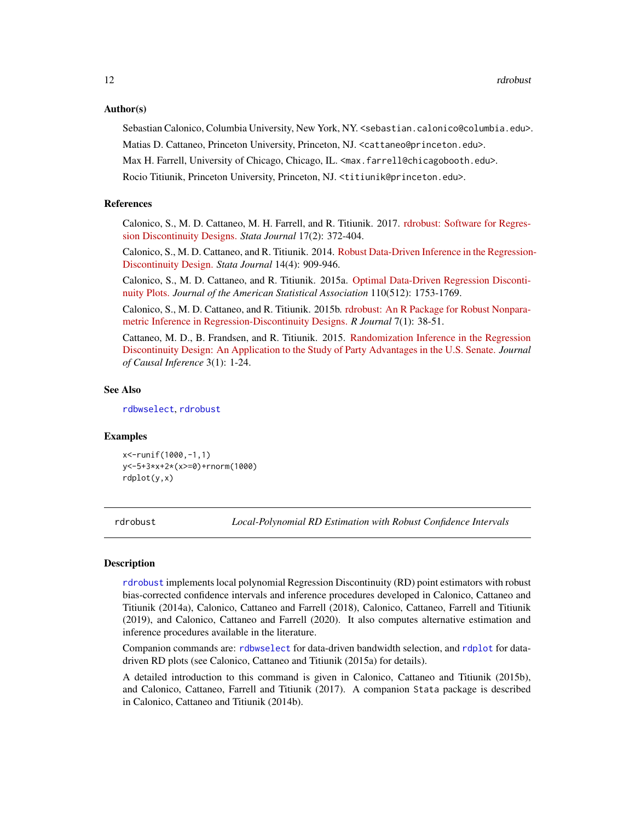#### <span id="page-11-0"></span>Author(s)

Sebastian Calonico, Columbia University, New York, NY. <sebastian.calonico@columbia.edu>.

Matias D. Cattaneo, Princeton University, Princeton, NJ. <cattaneo@princeton.edu>.

Max H. Farrell, University of Chicago, Chicago, IL. <max.farrell@chicagobooth.edu>.

Rocio Titiunik, Princeton University, Princeton, NJ. <titiunik@princeton.edu>.

#### References

Calonico, S., M. D. Cattaneo, M. H. Farrell, and R. Titiunik. 2017. [rdrobust: Software for Regres](https://rdpackages.github.io/references/Calonico-Cattaneo-Farrell-Titiunik_2017_Stata.pdf)[sion Discontinuity Designs.](https://rdpackages.github.io/references/Calonico-Cattaneo-Farrell-Titiunik_2017_Stata.pdf) *Stata Journal* 17(2): 372-404.

Calonico, S., M. D. Cattaneo, and R. Titiunik. 2014. [Robust Data-Driven Inference in the Regression](https://rdpackages.github.io/references/Calonico-Cattaneo-Titiunik_2014_Stata.pdf)-[Discontinuity Design.](https://rdpackages.github.io/references/Calonico-Cattaneo-Titiunik_2014_Stata.pdf) *Stata Journal* 14(4): 909-946.

Calonico, S., M. D. Cattaneo, and R. Titiunik. 2015a. [Optimal Data-Driven Regression Disconti](https://rdpackages.github.io/references/Calonico-Cattaneo-Titiunik_2015_JASA.pdf)[nuity Plots.](https://rdpackages.github.io/references/Calonico-Cattaneo-Titiunik_2015_JASA.pdf) *Journal of the American Statistical Association* 110(512): 1753-1769.

Calonico, S., M. D. Cattaneo, and R. Titiunik. 2015b. [rdrobust: An R Package for Robust Nonpara](https://rdpackages.github.io/references/Calonico-Cattaneo-Titiunik_2015_R.pdf)[metric Inference in Regression-Discontinuity Designs.](https://rdpackages.github.io/references/Calonico-Cattaneo-Titiunik_2015_R.pdf) *R Journal* 7(1): 38-51.

Cattaneo, M. D., B. Frandsen, and R. Titiunik. 2015. [Randomization Inference in the Regression](https://rdpackages.github.io/references/Cattaneo-Frandsen-Titiunik_2015_JCI.pdf) [Discontinuity Design: An Application to the Study of Party Advantages in the U.S. Senate.](https://rdpackages.github.io/references/Cattaneo-Frandsen-Titiunik_2015_JCI.pdf) *Journal of Causal Inference* 3(1): 1-24.

#### See Also

[rdbwselect](#page-1-1), [rdrobust](#page-11-1)

#### Examples

x<-runif(1000,-1,1) y<-5+3\*x+2\*(x>=0)+rnorm(1000) rdplot(y,x)

<span id="page-11-1"></span>

rdrobust *Local-Polynomial RD Estimation with Robust Confidence Intervals*

#### **Description**

[rdrobust](#page-11-1) implements local polynomial Regression Discontinuity (RD) point estimators with robust bias-corrected confidence intervals and inference procedures developed in Calonico, Cattaneo and Titiunik (2014a), Calonico, Cattaneo and Farrell (2018), Calonico, Cattaneo, Farrell and Titiunik (2019), and Calonico, Cattaneo and Farrell (2020). It also computes alternative estimation and inference procedures available in the literature.

Companion commands are: [rdbwselect](#page-1-1) for data-driven bandwidth selection, and [rdplot](#page-8-1) for datadriven RD plots (see Calonico, Cattaneo and Titiunik (2015a) for details).

A detailed introduction to this command is given in Calonico, Cattaneo and Titiunik (2015b), and Calonico, Cattaneo, Farrell and Titiunik (2017). A companion Stata package is described in Calonico, Cattaneo and Titiunik (2014b).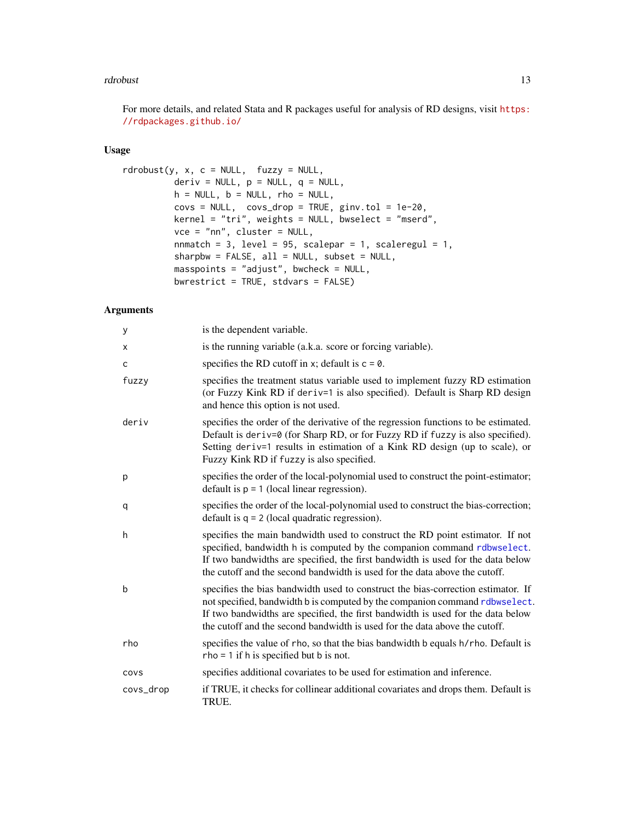#### <span id="page-12-0"></span>rdrobust 13

For more details, and related Stata and R packages useful for analysis of RD designs, visit [https:](https://rdpackages.github.io/) [//rdpackages.github.io/](https://rdpackages.github.io/)

#### Usage

```
rdroburst(y, x, c = NULL, fuzzy = NULL,deriv = NULL, p = NULL, q = NULL,
         h = NULL, b = NULL, rho = NULL,covs = NULL, covs_drop = TRUE, ginv.tol = 1e-20,
         kernel = "tri", weights = NULL, bwselect = "mserd",
         vce = "nn", cluster = NULL,
         nnmatch = 3, level = 95, scalepar = 1, scaleregul = 1,
         sharpbw = FALSE, all = NULL, subset = NULL,masspoints = "adjust", bwcheck = NULL,
         bwrestrict = TRUE, stdvars = FALSE)
```

| у           | is the dependent variable.                                                                                                                                                                                                                                                                                                       |
|-------------|----------------------------------------------------------------------------------------------------------------------------------------------------------------------------------------------------------------------------------------------------------------------------------------------------------------------------------|
| X           | is the running variable (a.k.a. score or forcing variable).                                                                                                                                                                                                                                                                      |
| C           | specifies the RD cutoff in x; default is $c = 0$ .                                                                                                                                                                                                                                                                               |
| fuzzy       | specifies the treatment status variable used to implement fuzzy RD estimation<br>(or Fuzzy Kink RD if deriv=1 is also specified). Default is Sharp RD design<br>and hence this option is not used.                                                                                                                               |
| deriv       | specifies the order of the derivative of the regression functions to be estimated.<br>Default is deriv=0 (for Sharp RD, or for Fuzzy RD if fuzzy is also specified).<br>Setting deriv=1 results in estimation of a Kink RD design (up to scale), or<br>Fuzzy Kink RD if fuzzy is also specified.                                 |
| p           | specifies the order of the local-polynomial used to construct the point-estimator;<br>default is $p = 1$ (local linear regression).                                                                                                                                                                                              |
| q           | specifies the order of the local-polynomial used to construct the bias-correction;<br>default is $q = 2$ (local quadratic regression).                                                                                                                                                                                           |
| h           | specifies the main bandwidth used to construct the RD point estimator. If not<br>specified, bandwidth h is computed by the companion command rdbwselect.<br>If two bandwidths are specified, the first bandwidth is used for the data below<br>the cutoff and the second bandwidth is used for the data above the cutoff.        |
| $\mathsf b$ | specifies the bias bandwidth used to construct the bias-correction estimator. If<br>not specified, bandwidth b is computed by the companion command rdbwselect.<br>If two bandwidths are specified, the first bandwidth is used for the data below<br>the cutoff and the second bandwidth is used for the data above the cutoff. |
| rho         | specifies the value of rho, so that the bias bandwidth b equals h/rho. Default is<br>$rho = 1$ if h is specified but b is not.                                                                                                                                                                                                   |
| COVS        | specifies additional covariates to be used for estimation and inference.                                                                                                                                                                                                                                                         |
| covs_drop   | if TRUE, it checks for collinear additional covariates and drops them. Default is<br>TRUE.                                                                                                                                                                                                                                       |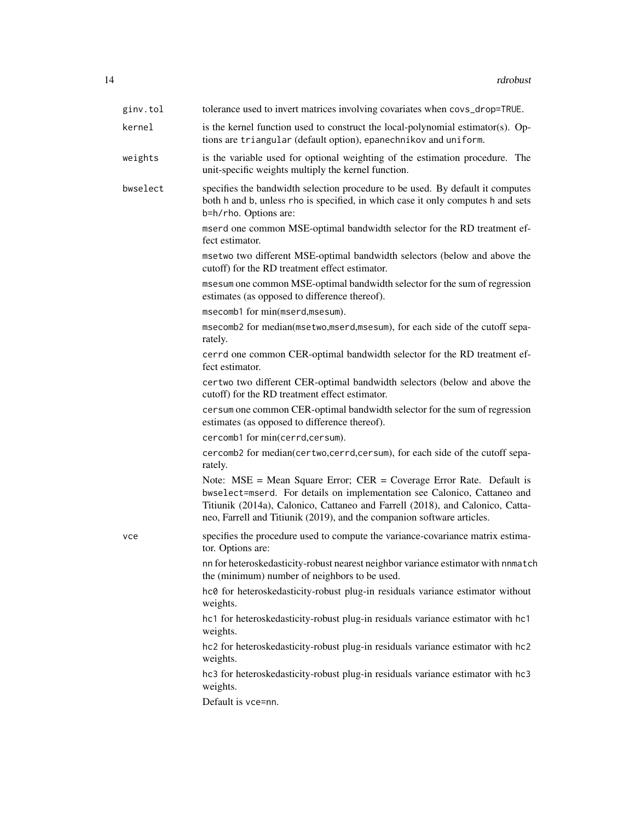| ginv.tol | tolerance used to invert matrices involving covariates when covs_drop=TRUE.                                                                                                                                                                                                                                       |
|----------|-------------------------------------------------------------------------------------------------------------------------------------------------------------------------------------------------------------------------------------------------------------------------------------------------------------------|
| kernel   | is the kernel function used to construct the local-polynomial estimator(s). Op-<br>tions are triangular (default option), epanechnikov and uniform.                                                                                                                                                               |
| weights  | is the variable used for optional weighting of the estimation procedure. The<br>unit-specific weights multiply the kernel function.                                                                                                                                                                               |
| bwselect | specifies the bandwidth selection procedure to be used. By default it computes<br>both h and b, unless rho is specified, in which case it only computes h and sets<br>b=h/rho. Options are:                                                                                                                       |
|          | mserd one common MSE-optimal bandwidth selector for the RD treatment ef-<br>fect estimator.                                                                                                                                                                                                                       |
|          | msetwo two different MSE-optimal bandwidth selectors (below and above the<br>cutoff) for the RD treatment effect estimator.                                                                                                                                                                                       |
|          | msesum one common MSE-optimal bandwidth selector for the sum of regression<br>estimates (as opposed to difference thereof).                                                                                                                                                                                       |
|          | msecomb1 for min(mserd,msesum).                                                                                                                                                                                                                                                                                   |
|          | msecomb2 for median(msetwo,mserd,msesum), for each side of the cutoff sepa-<br>rately.                                                                                                                                                                                                                            |
|          | cerrd one common CER-optimal bandwidth selector for the RD treatment ef-<br>fect estimator.                                                                                                                                                                                                                       |
|          | certwo two different CER-optimal bandwidth selectors (below and above the<br>cutoff) for the RD treatment effect estimator.                                                                                                                                                                                       |
|          | cersum one common CER-optimal bandwidth selector for the sum of regression<br>estimates (as opposed to difference thereof).                                                                                                                                                                                       |
|          | cercomb1 for min(cerrd,cersum).                                                                                                                                                                                                                                                                                   |
|          | cercomb2 for median(certwo,cerrd,cersum), for each side of the cutoff sepa-<br>rately.                                                                                                                                                                                                                            |
|          | Note: $MSE = Mean Square Error$ ; $CER = Coverage Error Rate$ . Default is<br>bwselect=mserd. For details on implementation see Calonico, Cattaneo and<br>Titiunik (2014a), Calonico, Cattaneo and Farrell (2018), and Calonico, Catta-<br>neo, Farrell and Titiunik (2019), and the companion software articles. |
| vce      | specifies the procedure used to compute the variance-covariance matrix estima-<br>tor. Options are:                                                                                                                                                                                                               |
|          | nn for heteroskedasticity-robust nearest neighbor variance estimator with nnmatch<br>the (minimum) number of neighbors to be used.                                                                                                                                                                                |
|          | hc0 for heteroskedasticity-robust plug-in residuals variance estimator without<br>weights.                                                                                                                                                                                                                        |
|          | hc1 for heteroskedasticity-robust plug-in residuals variance estimator with hc1<br>weights.                                                                                                                                                                                                                       |
|          | hc2 for heteroskedasticity-robust plug-in residuals variance estimator with hc2<br>weights.                                                                                                                                                                                                                       |
|          | hc3 for heteroskedasticity-robust plug-in residuals variance estimator with hc3<br>weights.                                                                                                                                                                                                                       |
|          | Default is vce=nn.                                                                                                                                                                                                                                                                                                |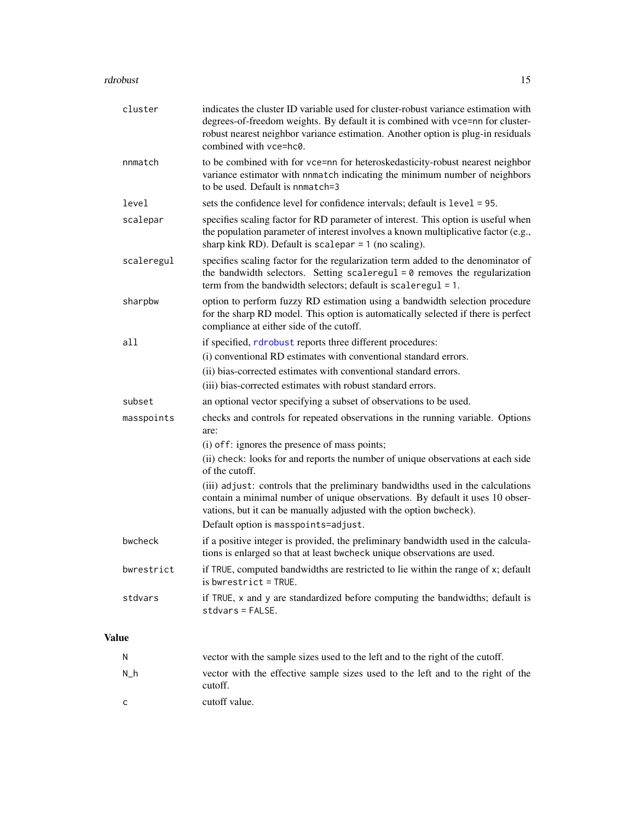#### <span id="page-14-0"></span>rdrobust 15

|              | cluster    | indicates the cluster ID variable used for cluster-robust variance estimation with<br>degrees-of-freedom weights. By default it is combined with vce=nn for cluster-<br>robust nearest neighbor variance estimation. Another option is plug-in residuals<br>combined with vce=hc0. |
|--------------|------------|------------------------------------------------------------------------------------------------------------------------------------------------------------------------------------------------------------------------------------------------------------------------------------|
|              | nnmatch    | to be combined with for vce=nn for heteroskedasticity-robust nearest neighbor<br>variance estimator with nnmatch indicating the minimum number of neighbors<br>to be used. Default is nnmatch=3                                                                                    |
|              | level      | sets the confidence level for confidence intervals; default is level = 95.                                                                                                                                                                                                         |
|              | scalepar   | specifies scaling factor for RD parameter of interest. This option is useful when<br>the population parameter of interest involves a known multiplicative factor (e.g.,<br>sharp kink RD). Default is scalepar $= 1$ (no scaling).                                                 |
|              | scaleregul | specifies scaling factor for the regularization term added to the denominator of<br>the bandwidth selectors. Setting scaleregul $= 0$ removes the regularization<br>term from the bandwidth selectors; default is scaleregul $= 1$ .                                               |
|              | sharpbw    | option to perform fuzzy RD estimation using a bandwidth selection procedure<br>for the sharp RD model. This option is automatically selected if there is perfect<br>compliance at either side of the cutoff.                                                                       |
|              | all        | if specified, rdrobust reports three different procedures:                                                                                                                                                                                                                         |
|              |            | (i) conventional RD estimates with conventional standard errors.                                                                                                                                                                                                                   |
|              |            | (ii) bias-corrected estimates with conventional standard errors.                                                                                                                                                                                                                   |
|              |            | (iii) bias-corrected estimates with robust standard errors.                                                                                                                                                                                                                        |
|              | subset     | an optional vector specifying a subset of observations to be used.                                                                                                                                                                                                                 |
|              | masspoints | checks and controls for repeated observations in the running variable. Options<br>are:                                                                                                                                                                                             |
|              |            | (i) of f: ignores the presence of mass points;                                                                                                                                                                                                                                     |
|              |            | (ii) check: looks for and reports the number of unique observations at each side<br>of the cutoff.                                                                                                                                                                                 |
|              |            | (iii) adjust: controls that the preliminary bandwidths used in the calculations<br>contain a minimal number of unique observations. By default it uses 10 obser-<br>vations, but it can be manually adjusted with the option bwcheck).<br>Default option is masspoints=adjust.     |
|              | bwcheck    | if a positive integer is provided, the preliminary bandwidth used in the calcula-<br>tions is enlarged so that at least bwcheck unique observations are used.                                                                                                                      |
|              | bwrestrict | if TRUE, computed bandwidths are restricted to lie within the range of x; default<br>$is$ bwrestrict = TRUE.                                                                                                                                                                       |
|              | stdvars    | if TRUE, x and y are standardized before computing the bandwidths; default is<br>stdvars = FALSE.                                                                                                                                                                                  |
| <b>Value</b> |            |                                                                                                                                                                                                                                                                                    |
|              | N          | vector with the sample sizes used to the left and to the right of the cutoff.                                                                                                                                                                                                      |
|              | $N_h$      | vector with the effective sample sizes used to the left and to the right of the<br>cutoff.                                                                                                                                                                                         |

c cutoff value.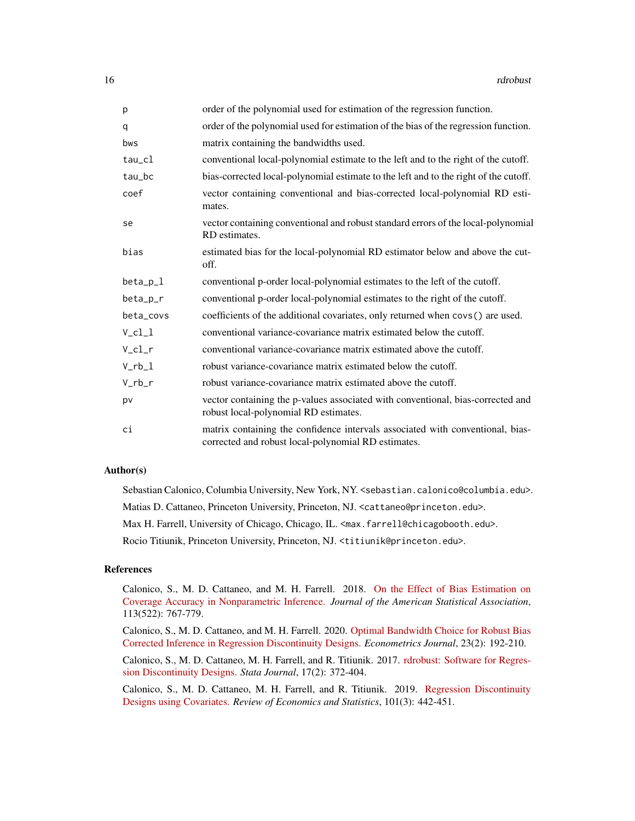| p          | order of the polynomial used for estimation of the regression function.                                                               |
|------------|---------------------------------------------------------------------------------------------------------------------------------------|
| q          | order of the polynomial used for estimation of the bias of the regression function.                                                   |
| bws        | matrix containing the bandwidths used.                                                                                                |
| $tau_c1$   | conventional local-polynomial estimate to the left and to the right of the cutoff.                                                    |
| tau_bc     | bias-corrected local-polynomial estimate to the left and to the right of the cutoff.                                                  |
| coef       | vector containing conventional and bias-corrected local-polynomial RD esti-<br>mates.                                                 |
| se         | vector containing conventional and robust standard errors of the local-polynomial<br>RD estimates.                                    |
| bias       | estimated bias for the local-polynomial RD estimator below and above the cut-<br>off.                                                 |
| $beta_p_l$ | conventional p-order local-polynomial estimates to the left of the cutoff.                                                            |
| beta_p_r   | conventional p-order local-polynomial estimates to the right of the cutoff.                                                           |
| beta_covs  | coefficients of the additional covariates, only returned when covs() are used.                                                        |
| $V_cl_1$   | conventional variance-covariance matrix estimated below the cutoff.                                                                   |
| $V_cl_r$   | conventional variance-covariance matrix estimated above the cutoff.                                                                   |
| $V_r b_l$  | robust variance-covariance matrix estimated below the cutoff.                                                                         |
| $V_r$ b_r  | robust variance-covariance matrix estimated above the cutoff.                                                                         |
| pv         | vector containing the p-values associated with conventional, bias-corrected and<br>robust local-polynomial RD estimates.              |
| ci         | matrix containing the confidence intervals associated with conventional, bias-<br>corrected and robust local-polynomial RD estimates. |

#### Author(s)

Sebastian Calonico, Columbia University, New York, NY. <sebastian.calonico@columbia.edu>. Matias D. Cattaneo, Princeton University, Princeton, NJ. <cattaneo@princeton.edu>. Max H. Farrell, University of Chicago, Chicago, IL. <max.farrell@chicagobooth.edu>. Rocio Titiunik, Princeton University, Princeton, NJ. <titiunik@princeton.edu>.

#### References

Calonico, S., M. D. Cattaneo, and M. H. Farrell. 2018. [On the Effect of Bias Estimation on](https://nppackages.github.io/references/Calonico-Cattaneo-Farrell_2018_JASA.pdf) [Coverage Accuracy in Nonparametric Inference.](https://nppackages.github.io/references/Calonico-Cattaneo-Farrell_2018_JASA.pdf) *Journal of the American Statistical Association*, 113(522): 767-779.

Calonico, S., M. D. Cattaneo, and M. H. Farrell. 2020. [Optimal Bandwidth Choice for Robust Bias](https://rdpackages.github.io/references/Calonico-Cattaneo-Farrell_2020_ECTJ.pdf) [Corrected Inference in Regression Discontinuity Designs.](https://rdpackages.github.io/references/Calonico-Cattaneo-Farrell_2020_ECTJ.pdf) *Econometrics Journal*, 23(2): 192-210.

Calonico, S., M. D. Cattaneo, M. H. Farrell, and R. Titiunik. 2017. [rdrobust: Software for Regres](https://rdpackages.github.io/references/Calonico-Cattaneo-Farrell-Titiunik_2017_Stata.pdf)[sion Discontinuity Designs.](https://rdpackages.github.io/references/Calonico-Cattaneo-Farrell-Titiunik_2017_Stata.pdf) *Stata Journal*, 17(2): 372-404.

Calonico, S., M. D. Cattaneo, M. H. Farrell, and R. Titiunik. 2019. [Regression Discontinuity](https://rdpackages.github.io/references/Calonico-Cattaneo-Farrell-Titiunik_2019_RESTAT.pdf) [Designs using Covariates.](https://rdpackages.github.io/references/Calonico-Cattaneo-Farrell-Titiunik_2019_RESTAT.pdf) *Review of Economics and Statistics*, 101(3): 442-451.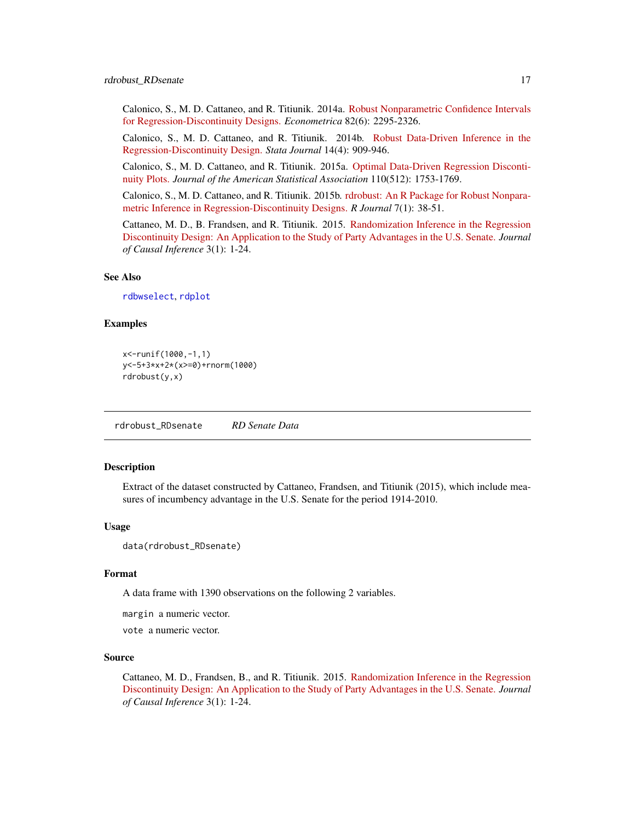<span id="page-16-0"></span>Calonico, S., M. D. Cattaneo, and R. Titiunik. 2014a. [Robust Nonparametric Confidence Intervals](https://rdpackages.github.io/references/Calonico-Cattaneo-Titiunik_2014_ECMA.pdf) [for Regression-Discontinuity Designs.](https://rdpackages.github.io/references/Calonico-Cattaneo-Titiunik_2014_ECMA.pdf) *Econometrica* 82(6): 2295-2326.

Calonico, S., M. D. Cattaneo, and R. Titiunik. 2014b. [Robust Data-Driven Inference in the](https://rdpackages.github.io/references/Calonico-Cattaneo-Titiunik_2014_Stata.pdf) [Regression-Discontinuity Design.](https://rdpackages.github.io/references/Calonico-Cattaneo-Titiunik_2014_Stata.pdf) *Stata Journal* 14(4): 909-946.

Calonico, S., M. D. Cattaneo, and R. Titiunik. 2015a. [Optimal Data-Driven Regression Disconti](https://rdpackages.github.io/references/Calonico-Cattaneo-Titiunik_2015_JASA.pdf)[nuity Plots.](https://rdpackages.github.io/references/Calonico-Cattaneo-Titiunik_2015_JASA.pdf) *Journal of the American Statistical Association* 110(512): 1753-1769.

Calonico, S., M. D. Cattaneo, and R. Titiunik. 2015b. [rdrobust: An R Package for Robust Nonpara](https://rdpackages.github.io/references/Calonico-Cattaneo-Titiunik_2015_R.pdf)[metric Inference in Regression-Discontinuity Designs.](https://rdpackages.github.io/references/Calonico-Cattaneo-Titiunik_2015_R.pdf) *R Journal* 7(1): 38-51.

Cattaneo, M. D., B. Frandsen, and R. Titiunik. 2015. [Randomization Inference in the Regression](https://rdpackages.github.io/references/Cattaneo-Frandsen-Titiunik_2015_JCI.pdf) [Discontinuity Design: An Application to the Study of Party Advantages in the U.S. Senate.](https://rdpackages.github.io/references/Cattaneo-Frandsen-Titiunik_2015_JCI.pdf) *Journal of Causal Inference* 3(1): 1-24.

#### See Also

[rdbwselect](#page-1-1), [rdplot](#page-8-1)

#### Examples

```
x<-runif(1000,-1,1)
y<-5+3*x+2*(x>=0)+rnorm(1000)
rdrobust(y,x)
```
rdrobust\_RDsenate *RD Senate Data*

#### Description

Extract of the dataset constructed by Cattaneo, Frandsen, and Titiunik (2015), which include measures of incumbency advantage in the U.S. Senate for the period 1914-2010.

#### Usage

```
data(rdrobust_RDsenate)
```
#### Format

A data frame with 1390 observations on the following 2 variables.

margin a numeric vector.

vote a numeric vector.

#### Source

Cattaneo, M. D., Frandsen, B., and R. Titiunik. 2015. [Randomization Inference in the Regression](https://rdpackages.github.io/references/Cattaneo-Frandsen-Titiunik_2015_JCI.pdf) [Discontinuity Design: An Application to the Study of Party Advantages in the U.S. Senate.](https://rdpackages.github.io/references/Cattaneo-Frandsen-Titiunik_2015_JCI.pdf) *Journal of Causal Inference* 3(1): 1-24.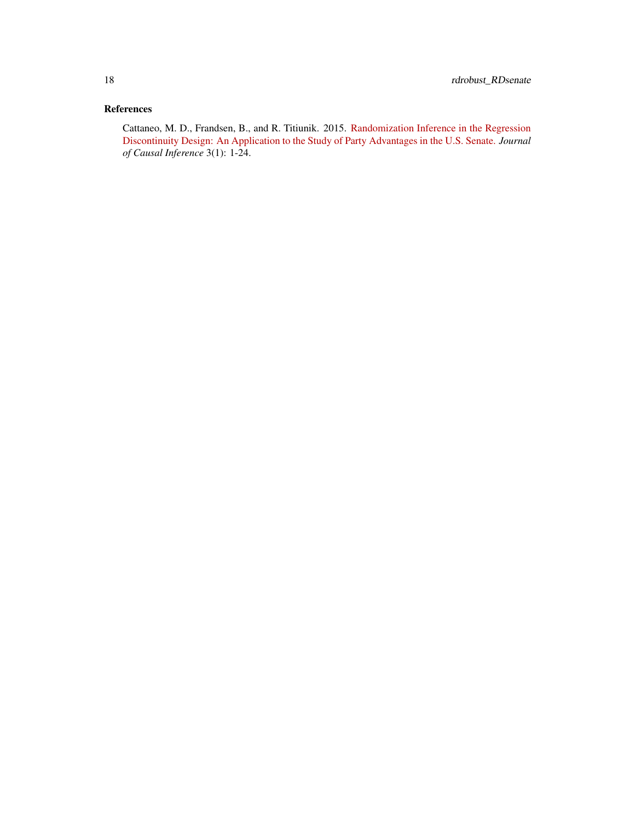#### References

Cattaneo, M. D., Frandsen, B., and R. Titiunik. 2015. [Randomization Inference in the Regression](https://rdpackages.github.io/references/Cattaneo-Frandsen-Titiunik_2015_JCI.pdf) [Discontinuity Design: An Application to the Study of Party Advantages in the U.S. Senate.](https://rdpackages.github.io/references/Cattaneo-Frandsen-Titiunik_2015_JCI.pdf) *Journal of Causal Inference* 3(1): 1-24.